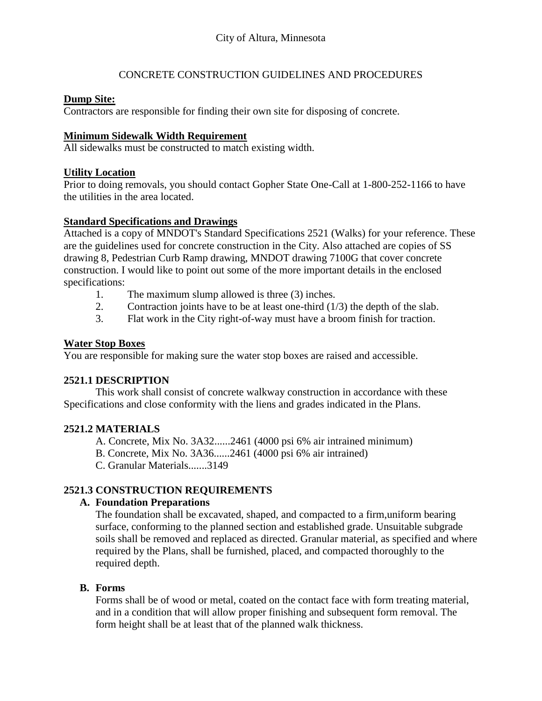# CONCRETE CONSTRUCTION GUIDELINES AND PROCEDURES

#### **Dump Site:**

Contractors are responsible for finding their own site for disposing of concrete.

#### **Minimum Sidewalk Width Requirement**

All sidewalks must be constructed to match existing width.

#### **Utility Location**

Prior to doing removals, you should contact Gopher State One-Call at 1-800-252-1166 to have the utilities in the area located.

#### **Standard Specifications and Drawings**

Attached is a copy of MNDOT's Standard Specifications 2521 (Walks) for your reference. These are the guidelines used for concrete construction in the City. Also attached are copies of SS drawing 8, Pedestrian Curb Ramp drawing, MNDOT drawing 7100G that cover concrete construction. I would like to point out some of the more important details in the enclosed specifications:

- 1. The maximum slump allowed is three (3) inches.
- 2. Contraction joints have to be at least one-third  $(1/3)$  the depth of the slab.
- 3. Flat work in the City right-of-way must have a broom finish for traction.

#### **Water Stop Boxes**

You are responsible for making sure the water stop boxes are raised and accessible.

## **2521.1 DESCRIPTION**

This work shall consist of concrete walkway construction in accordance with these Specifications and close conformity with the liens and grades indicated in the Plans.

## **2521.2 MATERIALS**

A. Concrete, Mix No. 3A32......2461 (4000 psi 6% air intrained minimum)

B. Concrete, Mix No. 3A36......2461 (4000 psi 6% air intrained)

C. Granular Materials.......3149

## **2521.3 CONSTRUCTION REQUIREMENTS**

## **A. Foundation Preparations**

The foundation shall be excavated, shaped, and compacted to a firm,uniform bearing surface, conforming to the planned section and established grade. Unsuitable subgrade soils shall be removed and replaced as directed. Granular material, as specified and where required by the Plans, shall be furnished, placed, and compacted thoroughly to the required depth.

## **B. Forms**

Forms shall be of wood or metal, coated on the contact face with form treating material, and in a condition that will allow proper finishing and subsequent form removal. The form height shall be at least that of the planned walk thickness.